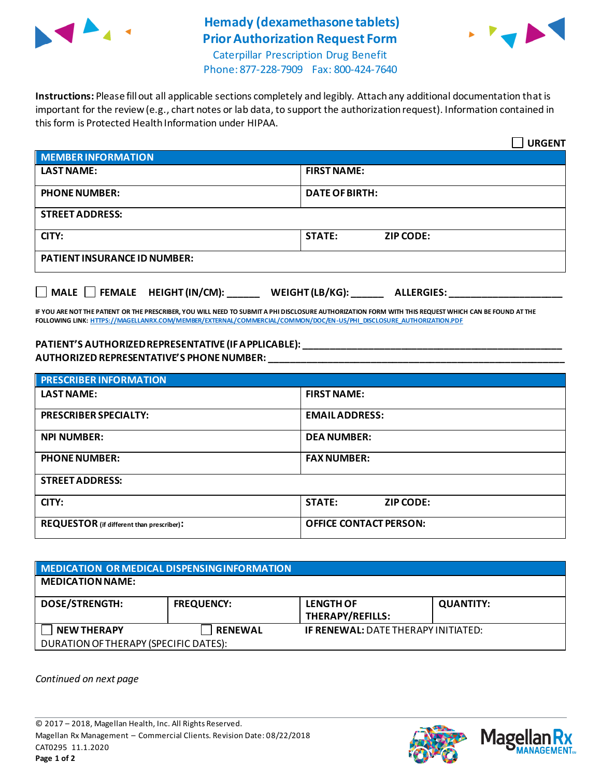

## **Hemady (dexamethasone tablets) Prior Authorization Request Form**



Caterpillar Prescription Drug Benefit Phone: 877-228-7909 Fax: 800-424-7640

**Instructions:** Please fill out all applicable sections completely and legibly. Attach any additional documentation that is important for the review (e.g., chart notes or lab data, to support the authorization request). Information contained in this form is Protected Health Information under HIPAA.

|                                                                      | <b>URGENT</b>                     |  |  |  |
|----------------------------------------------------------------------|-----------------------------------|--|--|--|
| <b>MEMBER INFORMATION</b>                                            |                                   |  |  |  |
| <b>LAST NAME:</b>                                                    | <b>FIRST NAME:</b>                |  |  |  |
| <b>PHONE NUMBER:</b>                                                 | <b>DATE OF BIRTH:</b>             |  |  |  |
| <b>STREET ADDRESS:</b>                                               |                                   |  |  |  |
| CITY:                                                                | <b>STATE:</b><br><b>ZIP CODE:</b> |  |  |  |
| <b>PATIENT INSURANCE ID NUMBER:</b>                                  |                                   |  |  |  |
| MALE FEMALE HEIGHT (IN/CM): ______ WEIGHT (LB/KG): ______ ALLERGIES: |                                   |  |  |  |

**IF YOU ARE NOT THE PATIENT OR THE PRESCRIBER, YOU WILL NEED TO SUBMIT A PHI DISCLOSURE AUTHORIZATION FORM WITH THIS REQUEST WHICH CAN BE FOUND AT THE FOLLOWING LINK[: HTTPS://MAGELLANRX.COM/MEMBER/EXTERNAL/COMMERCIAL/COMMON/DOC/EN-US/PHI\\_DISCLOSURE\\_AUTHORIZATION.PDF](https://magellanrx.com/member/external/commercial/common/doc/en-us/PHI_Disclosure_Authorization.pdf)**

## **PATIENT'S AUTHORIZED REPRESENTATIVE (IF APPLICABLE): \_\_\_\_\_\_\_\_\_\_\_\_\_\_\_\_\_\_\_\_\_\_\_\_\_\_\_\_\_\_\_\_\_\_\_\_\_\_\_\_\_\_\_\_\_\_\_\_ AUTHORIZED REPRESENTATIVE'S PHONE NUMBER: \_\_\_\_\_\_\_\_\_\_\_\_\_\_\_\_\_\_\_\_\_\_\_\_\_\_\_\_\_\_\_\_\_\_\_\_\_\_\_\_\_\_\_\_\_\_\_\_\_\_\_\_\_\_\_**

| <b>PRESCRIBER INFORMATION</b>             |                               |  |
|-------------------------------------------|-------------------------------|--|
| <b>LAST NAME:</b>                         | <b>FIRST NAME:</b>            |  |
| <b>PRESCRIBER SPECIALTY:</b>              | <b>EMAIL ADDRESS:</b>         |  |
| <b>NPI NUMBER:</b>                        | <b>DEA NUMBER:</b>            |  |
| <b>PHONE NUMBER:</b>                      | <b>FAX NUMBER:</b>            |  |
| <b>STREET ADDRESS:</b>                    |                               |  |
| CITY:                                     | <b>STATE:</b><br>ZIP CODE:    |  |
| REQUESTOR (if different than prescriber): | <b>OFFICE CONTACT PERSON:</b> |  |

| MEDICATION OR MEDICAL DISPENSING INFORMATION |                   |                                            |                  |  |  |
|----------------------------------------------|-------------------|--------------------------------------------|------------------|--|--|
| <b>MEDICATION NAME:</b>                      |                   |                                            |                  |  |  |
| <b>DOSE/STRENGTH:</b>                        | <b>FREQUENCY:</b> | <b>LENGTH OF</b><br>THERAPY/REFILLS:       | <b>QUANTITY:</b> |  |  |
| <b>NEW THERAPY</b>                           | <b>RENEWAL</b>    | <b>IF RENEWAL: DATE THERAPY INITIATED:</b> |                  |  |  |
| DURATION OF THERAPY (SPECIFIC DATES):        |                   |                                            |                  |  |  |

*Continued on next page*